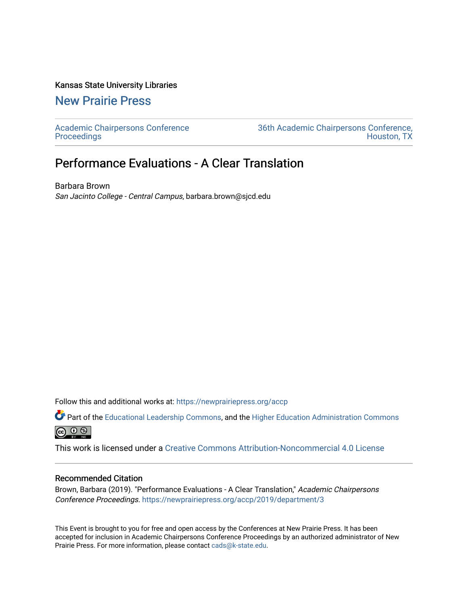## Kansas State University Libraries

## [New Prairie Press](https://newprairiepress.org/)

[Academic Chairpersons Conference](https://newprairiepress.org/accp)  **Proceedings** 

[36th Academic Chairpersons Conference,](https://newprairiepress.org/accp/2019)  [Houston, TX](https://newprairiepress.org/accp/2019) 

## Performance Evaluations - A Clear Translation

Barbara Brown San Jacinto College - Central Campus, barbara.brown@sjcd.edu

Follow this and additional works at: [https://newprairiepress.org/accp](https://newprairiepress.org/accp?utm_source=newprairiepress.org%2Faccp%2F2019%2Fdepartment%2F3&utm_medium=PDF&utm_campaign=PDFCoverPages) 

Part of the [Educational Leadership Commons,](http://network.bepress.com/hgg/discipline/1230?utm_source=newprairiepress.org%2Faccp%2F2019%2Fdepartment%2F3&utm_medium=PDF&utm_campaign=PDFCoverPages) and the [Higher Education Administration Commons](http://network.bepress.com/hgg/discipline/791?utm_source=newprairiepress.org%2Faccp%2F2019%2Fdepartment%2F3&utm_medium=PDF&utm_campaign=PDFCoverPages) **@** 0 ®

This work is licensed under a [Creative Commons Attribution-Noncommercial 4.0 License](https://creativecommons.org/licenses/by-nc/4.0/)

## Recommended Citation

Brown, Barbara (2019). "Performance Evaluations - A Clear Translation," Academic Chairpersons Conference Proceedings.<https://newprairiepress.org/accp/2019/department/3>

This Event is brought to you for free and open access by the Conferences at New Prairie Press. It has been accepted for inclusion in Academic Chairpersons Conference Proceedings by an authorized administrator of New Prairie Press. For more information, please contact [cads@k-state.edu.](mailto:cads@k-state.edu)